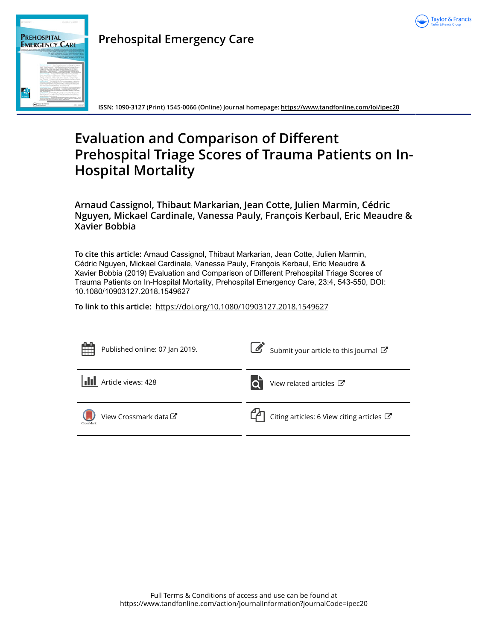

| A 81   ALTA OT 2018 |                                                                                                                                                                                                                                                                                                                                                                                              | www.crest.31-6-keeping.co                                                                                                                                                                                                                                                                                                                                                                                                                                                                                                                                                                                                                                                                                                                                                                                                                                                                                                                                                                                                                                                                                                                                                                                                                                                                                                                                                                                                                                                                                                                                                                                                                                                                                                                                                                                                                                                                                        |
|---------------------|----------------------------------------------------------------------------------------------------------------------------------------------------------------------------------------------------------------------------------------------------------------------------------------------------------------------------------------------------------------------------------------------|------------------------------------------------------------------------------------------------------------------------------------------------------------------------------------------------------------------------------------------------------------------------------------------------------------------------------------------------------------------------------------------------------------------------------------------------------------------------------------------------------------------------------------------------------------------------------------------------------------------------------------------------------------------------------------------------------------------------------------------------------------------------------------------------------------------------------------------------------------------------------------------------------------------------------------------------------------------------------------------------------------------------------------------------------------------------------------------------------------------------------------------------------------------------------------------------------------------------------------------------------------------------------------------------------------------------------------------------------------------------------------------------------------------------------------------------------------------------------------------------------------------------------------------------------------------------------------------------------------------------------------------------------------------------------------------------------------------------------------------------------------------------------------------------------------------------------------------------------------------------------------------------------------------|
|                     | <b>PREHOSPITAL</b><br><b>EMERGENCY CARE</b>                                                                                                                                                                                                                                                                                                                                                  | SEEICLAL ROUSINAL OF THE NATIONAL ASSOCIATION OF DAS PHYSICIANS!<br>THE NATIONAL RECOVERY OF ENERGY WAS ARRESTED FOR DWOL.<br>THE NATIONAL ASSOCIATION OF STATE RAN CITIESALS                                                                                                                                                                                                                                                                                                                                                                                                                                                                                                                                                                                                                                                                                                                                                                                                                                                                                                                                                                                                                                                                                                                                                                                                                                                                                                                                                                                                                                                                                                                                                                                                                                                                                                                                    |
|                     | because follows it is classification and by homes that to be better in the<br>The Charles of Chapterback Charles of<br>Following Luis Milwring Houston, Luis & Page 4 at<br>A six although the text is defined a Western American and the part of<br><b>Edward Courses of</b><br>$\sim$<br>today or as fraud. House from that<br>Force-Figs: at the London's Formula - the 413 Hollands at a | THE NATIONAL AREX MISCHIEF DAN FOUR AROUN<br>THE NATIONAL MAILMANNING EARN TARACTERIZING<br>THE NATIONAL ANNUALISTS IN CR ENT-<br>to the first contract to the state back and the first state<br>with the first state at the light field by the character of the field of the field of the character of<br>Buttle, Fland Industry 4. 1. Morrison March Hand Rose Photograph Adv and<br>(Britisher for Builders of F. Roadcore Requires System Harolds to the<br>This with the form today firm thought therefore banks are not that to<br>Number of Art his loan Major and re-recommendation by the first of the<br>National Rd. Financial co. 2. Exchibitions to the AL Antique<br>Ross At Law to A Bureaux of Church Street Ross Pro Art Garcian A Charl Road Pro A<br>because that shows them only face that we have<br>have paid himse 4 (boomers at the wings but introd-<br>looking behalves and Chinese a benew buildings for the<br>Seattle and School de University of Arranged Museum in Book Artistics<br>Expose de Decore - August Managed Parroquest (Insulate official and Managed) (Managed)<br>Householmston, Buddhison, J. Rosalbandard Insurance<br>or financy deposition yellock or frontier for financy of this a stat<br>There Will 1 Rowris 1 Cours and produces in the character<br>Facture and Party 1. Channels and have a stability a subscription of the a<br>hand the figures had been a probably beautiful and of<br>Senate between better and by the bank motors in Section Constant of Sections.<br>I as Forestore, such the Marking Trend Before intrast from Trend and to<br>Twist Museumler, The Business 1. Matches have been been detective<br>To buy that a car is an interesting the banker but many and a function of<br>Proven bureauxy - Manachings ribunded based business, Y. East<br>Notes that the first sport framework board down of the Country of the University |
|                     | <b>Saylor &amp; Francis</b><br>and with a firm of                                                                                                                                                                                                                                                                                                                                            | FRENCHMANZ                                                                                                                                                                                                                                                                                                                                                                                                                                                                                                                                                                                                                                                                                                                                                                                                                                                                                                                                                                                                                                                                                                                                                                                                                                                                                                                                                                                                                                                                                                                                                                                                                                                                                                                                                                                                                                                                                                       |

## **Prehospital Emergency Care**

**ISSN: 1090-3127 (Print) 1545-0066 (Online) Journal homepage:<https://www.tandfonline.com/loi/ipec20>**

# **Evaluation and Comparison of Different Prehospital Triage Scores of Trauma Patients on In-Hospital Mortality**

**Arnaud Cassignol, Thibaut Markarian, Jean Cotte, Julien Marmin, Cédric Nguyen, Mickael Cardinale, Vanessa Pauly, François Kerbaul, Eric Meaudre & Xavier Bobbia**

**To cite this article:** Arnaud Cassignol, Thibaut Markarian, Jean Cotte, Julien Marmin, Cédric Nguyen, Mickael Cardinale, Vanessa Pauly, François Kerbaul, Eric Meaudre & Xavier Bobbia (2019) Evaluation and Comparison of Different Prehospital Triage Scores of Trauma Patients on In-Hospital Mortality, Prehospital Emergency Care, 23:4, 543-550, DOI: [10.1080/10903127.2018.1549627](https://www.tandfonline.com/action/showCitFormats?doi=10.1080/10903127.2018.1549627)

**To link to this article:** <https://doi.org/10.1080/10903127.2018.1549627>

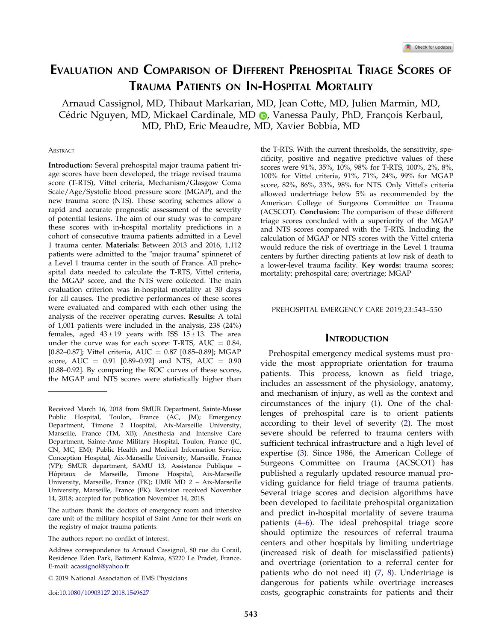## <span id="page-1-0"></span>EVALUATION AND COMPARISON OF DIFFERENT PREHOSPITAL TRIAGE SCORES OF TRAUMA PATIENTS ON IN-HOSPITAL MORTALITY

Arnaud Cassignol, MD, Thibaut Markarian, MD, Jean Cotte, MD, Julien Marmin, MD, Cédric Nguyen[,](http://orcid.org/0000-0002-9245-9104) MD, Mickael Cardinale, MD (D, Vanessa Pauly, PhD, François Kerbaul, MD, PhD, Eric Meaudre, MD, Xavier Bobbia, MD

#### **ABSTRACT**

Introduction: Several prehospital major trauma patient triage scores have been developed, the triage revised trauma score (T-RTS), Vittel criteria, Mechanism/Glasgow Coma Scale/Age/Systolic blood pressure score (MGAP), and the new trauma score (NTS). These scoring schemes allow a rapid and accurate prognostic assessment of the severity of potential lesions. The aim of our study was to compare these scores with in-hospital mortality predictions in a cohort of consecutive trauma patients admitted in a Level 1 trauma center. Materials: Between 2013 and 2016, 1,112 patients were admitted to the "major trauma" spinneret of a Level 1 trauma center in the south of France. All prehospital data needed to calculate the T-RTS, Vittel criteria, the MGAP score, and the NTS were collected. The main evaluation criterion was in-hospital mortality at 30 days for all causes. The predictive performances of these scores were evaluated and compared with each other using the analysis of the receiver operating curves. Results: A total of 1,001 patients were included in the analysis, 238 (24%) females, aged  $43 \pm 19$  years with ISS  $15 \pm 13$ . The area under the curve was for each score: T-RTS,  $AUC = 0.84$ , [0.82–0.87]; Vittel criteria, AUC = 0.87 [0.85–0.89]; MGAP score, AUC =  $0.91$  [0.89-0.92] and NTS, AUC =  $0.90$ [0.88–0.92]. By comparing the ROC curves of these scores, the MGAP and NTS scores were statistically higher than

The authors thank the doctors of emergency room and intensive care unit of the military hospital of Saint Anne for their work on the registry of major trauma patients.

the T-RTS. With the current thresholds, the sensitivity, specificity, positive and negative predictive values of these scores were 91%, 35%, 10%, 98% for T-RTS, 100%, 2%, 8%, 100% for Vittel criteria, 91%, 71%, 24%, 99% for MGAP score, 82%, 86%, 33%, 98% for NTS. Only Vittel's criteria allowed undertriage below 5% as recommended by the American College of Surgeons Committee on Trauma (ACSCOT). Conclusion: The comparison of these different triage scores concluded with a superiority of the MGAP and NTS scores compared with the T-RTS. Including the calculation of MGAP or NTS scores with the Vittel criteria would reduce the risk of overtriage in the Level 1 trauma centers by further directing patients at low risk of death to a lower-level trauma facility. Key words: trauma scores; mortality; prehospital care; overtriage; MGAP

#### PREHOSPITAL EMERGENCY CARE 2019;23:543–550

#### **INTRODUCTION**

Prehospital emergency medical systems must provide the most appropriate orientation for trauma patients. This process, known as field triage, includes an assessment of the physiology, anatomy, and mechanism of injury, as well as the context and circumstances of the injury ([1\)](#page-7-0). One of the challenges of prehospital care is to orient patients according to their level of severity ([2\)](#page-7-0). The most severe should be referred to trauma centers with sufficient technical infrastructure and a high level of expertise ([3\)](#page-7-0). Since 1986, the American College of Surgeons Committee on Trauma (ACSCOT) has published a regularly updated resource manual providing guidance for field triage of trauma patients. Several triage scores and decision algorithms have been developed to facilitate prehospital organization and predict in-hospital mortality of severe trauma patients [\(4](#page-7-0)–6). The ideal prehospital triage score should optimize the resources of referral trauma centers and other hospitals by limiting undertriage (increased risk of death for misclassified patients) and overtriage (orientation to a referral center for patients who do not need it) [\(7](#page-7-0), [8](#page-7-0)). Undertriage is dangerous for patients while overtriage increases costs, geographic constraints for patients and their

Received March 16, 2018 from SMUR Department, Sainte-Musse Public Hospital, Toulon, France (AC, JM); Emergency Department, Timone 2 Hospital, Aix-Marseille University, Marseille, France (TM, XB); Anesthesia and Intensive Care Department, Sainte-Anne Military Hospital, Toulon, France (JC, CN, MC, EM); Public Health and Medical Information Service, Conception Hospital, Aix-Marseille University, Marseille, France (VP); SMUR department, SAMU 13, Assistance Publique – Hopitaux de Marseille, Timone Hospital, Aix-Marseille ^ University, Marseille, France (FK); UMR MD 2 – Aix-Marseille University, Marseille, France (FK). Revision received November 14, 2018; accepted for publication November 14, 2018.

The authors report no conflict of interest.

Address correspondence to Arnaud Cassignol, 80 rue du Corail, Residence Eden Park, Batiment Kalmia, 83220 Le Pradet, France. E-mail: acassignol@yahoo.fr

2019 National Association of EMS Physicians

doi:10.1080/10903127.2018.1549627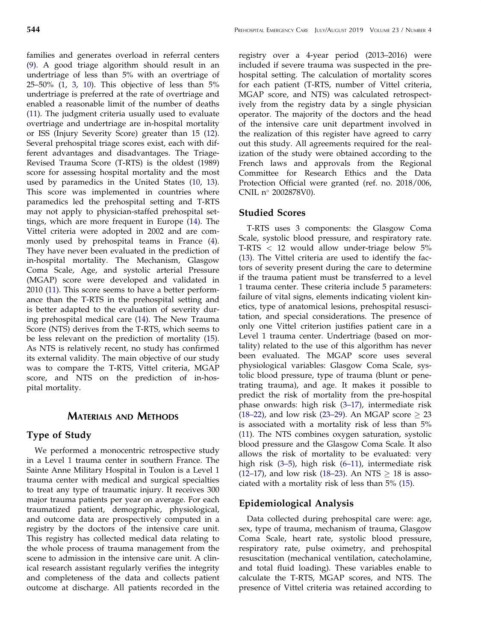<span id="page-2-0"></span>families and generates overload in referral centers [\(9](#page-7-0)). A good triage algorithm should result in an undertriage of less than 5% with an overtriage of 25–50% ([1,](#page-7-0) [3](#page-7-0), [10\)](#page-7-0). This objective of less than 5% undertriage is preferred at the rate of overtriage and enabled a reasonable limit of the number of deaths [\(11](#page-7-0)). The judgment criteria usually used to evaluate overtriage and undertriage are in-hospital mortality or ISS (Injury Severity Score) greater than 15 [\(12](#page-7-0)). Several prehospital triage scores exist, each with different advantages and disadvantages. The Triage-Revised Trauma Score (T-RTS) is the oldest (1989) score for assessing hospital mortality and the most used by paramedics in the United States [\(10](#page-7-0), [13](#page-7-0)). This score was implemented in countries where paramedics led the prehospital setting and T-RTS may not apply to physician-staffed prehospital settings, which are more frequent in Europe [\(14](#page-7-0)). The Vittel criteria were adopted in 2002 and are commonly used by prehospital teams in France [\(4](#page-7-0)). They have never been evaluated in the prediction of in-hospital mortality. The Mechanism, Glasgow Coma Scale, Age, and systolic arterial Pressure (MGAP) score were developed and validated in 2010 ([11\)](#page-7-0). This score seems to have a better performance than the T-RTS in the prehospital setting and is better adapted to the evaluation of severity during prehospital medical care [\(14](#page-7-0)). The New Trauma Score (NTS) derives from the T-RTS, which seems to be less relevant on the prediction of mortality [\(15](#page-7-0)). As NTS is relatively recent, no study has confirmed its external validity. The main objective of our study was to compare the T-RTS, Vittel criteria, MGAP score, and NTS on the prediction of in-hospital mortality.

### MATERIALS AND METHODS

### Type of Study

We performed a monocentric retrospective study in a Level 1 trauma center in southern France. The Sainte Anne Military Hospital in Toulon is a Level 1 trauma center with medical and surgical specialties to treat any type of traumatic injury. It receives 300 major trauma patients per year on average. For each traumatized patient, demographic, physiological, and outcome data are prospectively computed in a registry by the doctors of the intensive care unit. This registry has collected medical data relating to the whole process of trauma management from the scene to admission in the intensive care unit. A clinical research assistant regularly verifies the integrity and completeness of the data and collects patient outcome at discharge. All patients recorded in the

registry over a 4-year period (2013–2016) were included if severe trauma was suspected in the prehospital setting. The calculation of mortality scores for each patient (T-RTS, number of Vittel criteria, MGAP score, and NTS) was calculated retrospectively from the registry data by a single physician operator. The majority of the doctors and the head of the intensive care unit department involved in the realization of this register have agreed to carry out this study. All agreements required for the realization of the study were obtained according to the French laws and approvals from the Regional Committee for Research Ethics and the Data Protection Official were granted (ref. no. 2018/006, CNIL n° 2002878V0).

#### Studied Scores

T-RTS uses 3 components: the Glasgow Coma Scale, systolic blood pressure, and respiratory rate. T-RTS < 12 would allow under-triage below 5% [\(13](#page-7-0)). The Vittel criteria are used to identify the factors of severity present during the care to determine if the trauma patient must be transferred to a level 1 trauma center. These criteria include 5 parameters: failure of vital signs, elements indicating violent kinetics, type of anatomical lesions, prehospital resuscitation, and special considerations. The presence of only one Vittel criterion justifies patient care in a Level 1 trauma center. Undertriage (based on mortality) related to the use of this algorithm has never been evaluated. The MGAP score uses several physiological variables: Glasgow Coma Scale, systolic blood pressure, type of trauma (blunt or penetrating trauma), and age. It makes it possible to predict the risk of mortality from the pre-hospital phase onwards: high risk (3–[17](#page-7-0)), intermediate risk [\(18](#page-7-0)–22), and low risk (23–[29\)](#page-8-0). An MGAP score  $\geq$  23 is associated with a mortality risk of less than 5% [\(11](#page-7-0)). The NTS combines oxygen saturation, systolic blood pressure and the Glasgow Coma Scale. It also allows the risk of mortality to be evaluated: very high risk (3–[5\)](#page-7-0), high risk (6–[11](#page-7-0)), intermediate risk [\(12](#page-7-0)–17), and low risk [\(18](#page-7-0)–23). An NTS  $\geq$  18 is associated with a mortality risk of less than 5% [\(15](#page-7-0)).

#### Epidemiological Analysis

Data collected during prehospital care were: age, sex, type of trauma, mechanism of trauma, Glasgow Coma Scale, heart rate, systolic blood pressure, respiratory rate, pulse oximetry, and prehospital resuscitation (mechanical ventilation, catecholamine, and total fluid loading). These variables enable to calculate the T-RTS, MGAP scores, and NTS. The presence of Vittel criteria was retained according to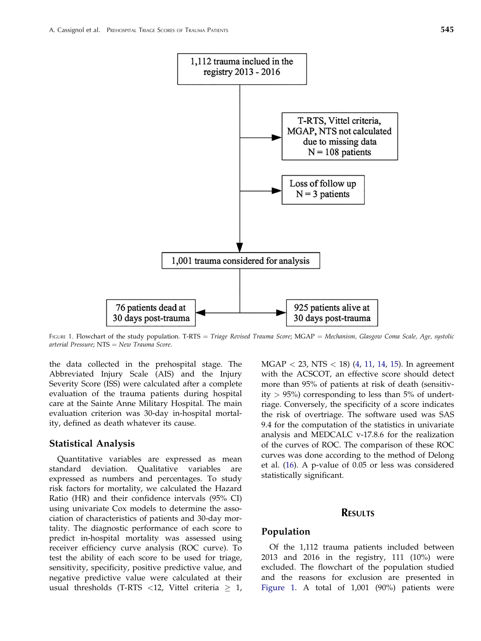<span id="page-3-0"></span>

FIGURE 1. Flowchart of the study population. T-RTS = Triage Revised Trauma Score; MGAP = Mechanism, Glasgow Coma Scale, Age, systolic arterial Pressure;  $NTS = New Trauma Score$ .

the data collected in the prehospital stage. The Abbreviated Injury Scale (AIS) and the Injury Severity Score (ISS) were calculated after a complete evaluation of the trauma patients during hospital care at the Sainte Anne Military Hospital. The main evaluation criterion was 30-day in-hospital mortality, defined as death whatever its cause.

#### Statistical Analysis

Quantitative variables are expressed as mean standard deviation. Qualitative variables are expressed as numbers and percentages. To study risk factors for mortality, we calculated the Hazard Ratio (HR) and their confidence intervals (95% CI) using univariate Cox models to determine the association of characteristics of patients and 30-day mortality. The diagnostic performance of each score to predict in-hospital mortality was assessed using receiver efficiency curve analysis (ROC curve). To test the ability of each score to be used for triage, sensitivity, specificity, positive predictive value, and negative predictive value were calculated at their usual thresholds (T-RTS <12, Vittel criteria  $\geq 1$ ,  $MGAP < 23$ , NTS  $< 18$ ) [\(4](#page-7-0), [11](#page-7-0), [14](#page-7-0), [15](#page-7-0)). In agreement with the ACSCOT, an effective score should detect more than 95% of patients at risk of death (sensitivity  $> 95\%$ ) corresponding to less than 5% of undertriage. Conversely, the specificity of a score indicates the risk of overtriage. The software used was SAS 9.4 for the computation of the statistics in univariate analysis and MEDCALC v-17.8.6 for the realization of the curves of ROC. The comparison of these ROC curves was done according to the method of Delong et al. ([16\)](#page-7-0). A p-value of 0.05 or less was considered statistically significant.

#### RESULTS

#### Population

Of the 1,112 trauma patients included between 2013 and 2016 in the registry, 111 (10%) were excluded. The flowchart of the population studied and the reasons for exclusion are presented in Figure 1. A total of 1,001 (90%) patients were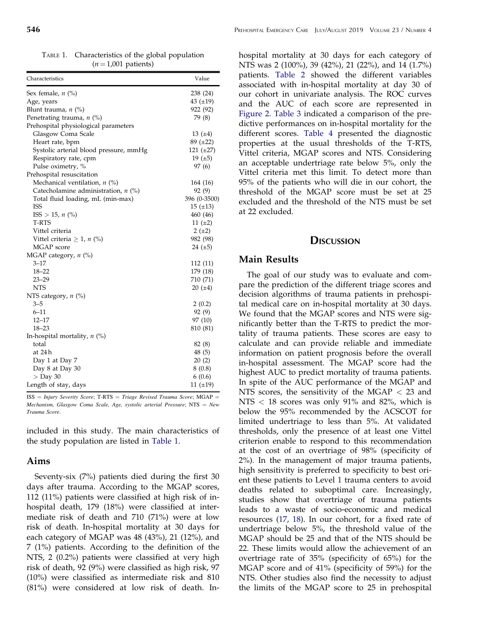<span id="page-4-0"></span>TABLE 1. Characteristics of the global population  $(n = 1,001$  patients)

| Characteristics                        | Value          |
|----------------------------------------|----------------|
| Sex female, $n$ (%)                    | 238 (24)       |
| Age, years                             | 43 $(\pm 19)$  |
| Blunt trauma, $n$ (%)                  | 922 (92)       |
| Penetrating trauma, $n$ (%)            | 79 (8)         |
| Prehospital physiological parameters   |                |
| Glasgow Coma Scale                     | 13 $(±4)$      |
| Heart rate, bpm                        | $89 (+22)$     |
| Systolic arterial blood pressure, mmHg | 121 $(\pm 27)$ |
| Respiratory rate, cpm                  | 19 $(\pm 5)$   |
| Pulse oximetry, %                      | 97 (6)         |
| Prehospital resuscitation              |                |
| Mechanical ventilation, $n$ (%)        | 164 (16)       |
| Catecholamine administration, $n$ (%)  | 92(9)          |
| Total fluid loading, mL (min-max)      | 396 (0-3500)   |
| <b>ISS</b>                             | $15 (+13)$     |
| $ISS > 15, n$ (%)                      | 460 (46)       |
| T-RTS                                  | 11 $(\pm 2)$   |
| Vittel criteria                        | $2(\pm 2)$     |
| Vittel criteria $\geq 1$ , n (%)       | 982 (98)       |
| MGAP score                             | 24 $(\pm 5)$   |
| MGAP category, $n$ (%)                 |                |
| $3 - 17$                               | 112 (11)       |
| $18 - 22$                              | 179 (18)       |
| $23 - 29$                              | 710 (71)       |
| <b>NTS</b>                             | 20(.4)         |
| NTS category, $n$ (%)                  |                |
| $3 - 5$                                | 2(0.2)         |
| $6 - 11$                               | 92 (9)         |
| $12 - 17$                              | 97 (10)        |
| $18 - 23$                              | 810 (81)       |
| In-hospital mortality, $n$ (%)         |                |
| total                                  | 82 (8)         |
| at 24 h                                | 48 (5)         |
| Day 1 at Day 7                         | 20(2)          |
| Day 8 at Day 30                        | 8(0.8)         |
| $>$ Day 30                             | 6(0.6)         |
| Length of stay, days                   | 11 $(±19)$     |

 $ISS = Injury$  Severity Score; T-RTS = Triage Revised Trauma Score; MGAP = Mechanism, Glasgow Coma Scale, Age, systolic arterial Pressure;  $NTS = New$ Trauma Score.

included in this study. The main characteristics of the study population are listed in Table 1.

#### Aims

Seventy-six (7%) patients died during the first 30 days after trauma. According to the MGAP scores, 112 (11%) patients were classified at high risk of inhospital death, 179 (18%) were classified at intermediate risk of death and 710 (71%) were at low risk of death. In-hospital mortality at 30 days for each category of MGAP was 48 (43%), 21 (12%), and 7 (1%) patients. According to the definition of the NTS, 2 (0.2%) patients were classified at very high risk of death, 92 (9%) were classified as high risk, 97 (10%) were classified as intermediate risk and 810 (81%) were considered at low risk of death. Inhospital mortality at 30 days for each category of NTS was 2 (100%), 39 (42%), 21 (22%), and 14 (1.7%) patients. [Table 2](#page-5-0) showed the different variables associated with in-hospital mortality at day 30 of our cohort in univariate analysis. The ROC curves and the AUC of each score are represented in [Figure 2](#page-5-0). [Table 3](#page-6-0) indicated a comparison of the predictive performances on in-hospital mortality for the different scores. [Table 4](#page-6-0) presented the diagnostic properties at the usual thresholds of the T-RTS, Vittel criteria, MGAP scores and NTS. Considering an acceptable undertriage rate below 5%, only the Vittel criteria met this limit. To detect more than 95% of the patients who will die in our cohort, the threshold of the MGAP score must be set at 25 excluded and the threshold of the NTS must be set at 22 excluded.

#### **DISCUSSION**

#### Main Results

The goal of our study was to evaluate and compare the prediction of the different triage scores and decision algorithms of trauma patients in prehospital medical care on in-hospital mortality at 30 days. We found that the MGAP scores and NTS were significantly better than the T-RTS to predict the mortality of trauma patients. These scores are easy to calculate and can provide reliable and immediate information on patient prognosis before the overall in-hospital assessment. The MGAP score had the highest AUC to predict mortality of trauma patients. In spite of the AUC performance of the MGAP and NTS scores, the sensitivity of the MGAP < 23 and NTS < 18 scores was only 91% and 82%, which is below the 95% recommended by the ACSCOT for limited undertriage to less than 5%. At validated thresholds, only the presence of at least one Vittel criterion enable to respond to this recommendation at the cost of an overtriage of 98% (specificity of 2%). In the management of major trauma patients, high sensitivity is preferred to specificity to best orient these patients to Level 1 trauma centers to avoid deaths related to suboptimal care. Increasingly, studies show that overtriage of trauma patients leads to a waste of socio-economic and medical resources [\(17](#page-7-0), [18](#page-7-0)). In our cohort, for a fixed rate of undertriage below 5%, the threshold value of the MGAP should be 25 and that of the NTS should be 22. These limits would allow the achievement of an overtriage rate of 35% (specificity of 65%) for the MGAP score and of 41% (specificity of 59%) for the NTS. Other studies also find the necessity to adjust the limits of the MGAP score to 25 in prehospital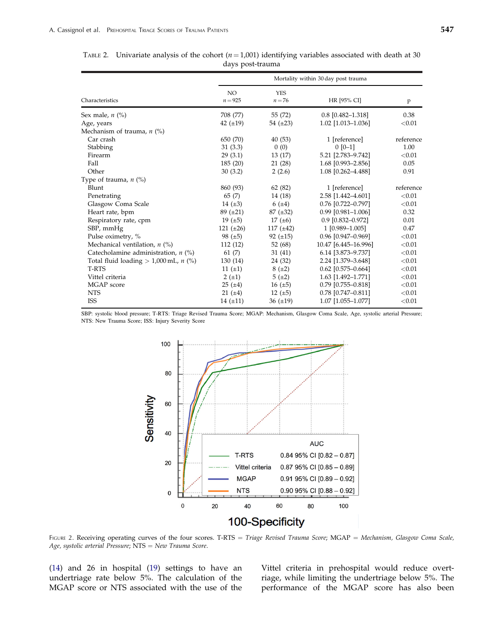Respiratory rate, cpm

|                              | days post-trauma                    |                        |                         |           |  |
|------------------------------|-------------------------------------|------------------------|-------------------------|-----------|--|
|                              | Mortality within 30 day post trauma |                        |                         |           |  |
| Characteristics              | NO.<br>$n = 925$                    | <b>YES</b><br>$n = 76$ | HR [95% CI]             | P         |  |
| Sex male, $n$ (%)            | 708 (77)                            | 55 (72)                | $0.8$ [0.482-1.318]     | 0.38      |  |
| Age, years                   | 42 $(\pm 19)$                       | 54 $(\pm 23)$          | 1.02 [1.013-1.036]      | ${<}0.01$ |  |
| Mechanism of trauma, $n$ (%) |                                     |                        |                         |           |  |
| Car crash                    | 650 (70)                            | 40(53)                 | 1 [reference]           | reference |  |
| Stabbing                     | 31(3.3)                             | 0(0)                   | $0$ [0-1]               | 1.00      |  |
| Firearm                      | 29(3.1)                             | 13 (17)                | 5.21 [2.783-9.742]      | < 0.01    |  |
| Fall                         | 185(20)                             | 21 (28)                | $1.68$ [0.993-2.856]    | 0.05      |  |
| Other                        | 30(3.2)                             | 2(2.6)                 | 1.08 [0.262-4.488]      | 0.91      |  |
| Type of trauma, $n$ (%)      |                                     |                        |                         |           |  |
| Blunt                        | 860 (93)                            | 62(82)                 | 1 [reference]           | reference |  |
| Penetrating                  | 65 (7)                              | 14 (18)                | 2.58 [1.442-4.601]      | ${<}0.01$ |  |
| Glasgow Coma Scale           | 14 $(\pm 3)$                        | $6 (+4)$               | $0.76$ [0.722-0.797]    | ${<}0.01$ |  |
| Heart rate, bpm              | $89 (+21)$                          | $87 (\pm 32)$          | $0.99$ [0.981-1.006]    | 0.32      |  |
| Respiratory rate, cpm        | 19 $(\pm 5)$                        | 17 $(\pm 6)$           | $0.9$ $[0.832 - 0.972]$ | 0.01      |  |

SBP, mmHg 121 (±26) 117 (±42) 1 [0.989–1.005] 0.47 Pulse oximetry, % 98 (±5) 92 (±15) 0.96 [0.947–0.969]  $\leq 0.01$ <br>Mechanical ventilation, *n* (%) 112 (12) 52 (68) 10.47 [6.445–16.996]  $\leq 0.01$ Mechanical ventilation, *n* (%) 112 (12) 52 (68) 10.47 [6.445–16.996]  $\leq 0.01$ <br>Catecholamine administration, *n* (%) 61 (7) 31 (41) 6.14 [3.873–9.737]  $\leq 0.01$ 

Total fluid loading  $> 1,000$  mL, n (%) 130 (14) 24 (32) 2.24 [1.379–3.648]  $< 0.01$ T-RTS  $11 \pm 1$   $8 \pm 2$   $0.62 \pm 0.575 - 0.664$   $< 0.01$ Vittel criteria  $2 (\pm 1)$   $5 (\pm 2)$   $1.63 [1.492-1.771]$   $< 0.01$ <br>MGAP score  $25 (\pm 4)$   $16 (\pm 5)$   $0.79 [0.755-0.818]$   $< 0.01$ MGAP score 25 (±4) 16 (±5) 0.79 [0.755–0.818] <0.01<br>NTS 21 (±4) 12 (±5) 0.78 [0.747–0.811] <0.01

Catecholamine administration,  $n$  (%) 61 (7) 31 (41) 6.14 [3.873-9.737]

<span id="page-5-0"></span>TABLE 2. Univariate analysis of the cohort  $(n = 1,001)$  identifying variables associated with death at 30 days post-trauma

SBP: systolic blood pressure; T-RTS: Triage Revised Trauma Score; MGAP: Mechanism, Glasgow Coma Scale, Age, systolic arterial Pressure; NTS: New Trauma Score; ISS: Injury Severity Score

ISS  $14 (\pm 11)$   $36 (\pm 19)$   $1.07 [1.055-1.077]$   $< 0.01$ 



FIGURE 2. Receiving operating curves of the four scores. T-RTS = Triage Revised Trauma Score; MGAP = Mechanism, Glasgow Coma Scale, Age, systolic arterial Pressure;  $NTS = New Trauma Score$ .

[\(14](#page-7-0)) and 26 in hospital ([19\)](#page-8-0) settings to have an undertriage rate below 5%. The calculation of the MGAP score or NTS associated with the use of the Vittel criteria in prehospital would reduce overtriage, while limiting the undertriage below 5%. The performance of the MGAP score has also been

 $0.78$  [0.747-0.811]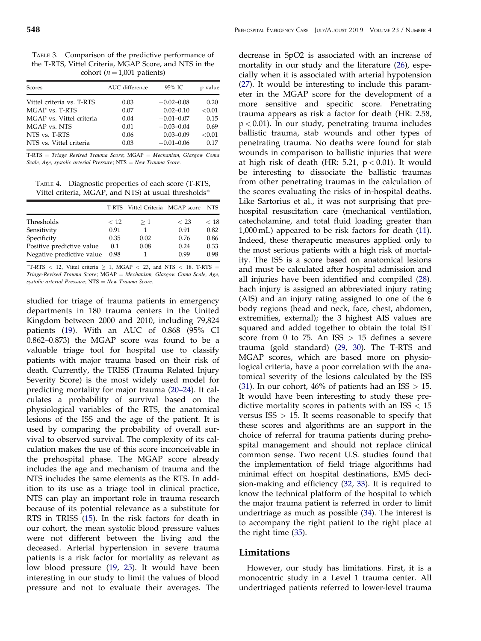<span id="page-6-0"></span>TABLE 3. Comparison of the predictive performance of the T-RTS, Vittel Criteria, MGAP Score, and NTS in the cohort ( $n = 1,001$  patients)

| Scores                    | AUC difference | 95% IC         | p value |
|---------------------------|----------------|----------------|---------|
| Vittel criteria vs. T-RTS | 0.03           | $-0.02 - 0.08$ | 0.20    |
| MGAP vs. T-RTS            | 0.07           | $0.02 - 0.10$  | < 0.01  |
| MGAP vs. Vittel criteria  | 0.04           | $-0.01 - 0.07$ | 0.15    |
| MGAP vs. NTS              | 0.01           | $-0.03 - 0.04$ | 0.69    |
| NTS vs. T-RTS             | 0.06           | $0.03 - 0.09$  | < 0.01  |
| NTS vs. Vittel criteria   | 0.03           | $-0.01 - 0.06$ | 0.17    |

 $T-RTS = Triangle$  Revised Trauma Score; MGAP = Mechanism, Glasgow Coma Scale, Age, systolic arterial Pressure;  $NTS = New Trauma Score$ .

TABLE 4. Diagnostic properties of each score (T-RTS, Vittel criteria, MGAP, and NTS) at usual thresholds

|                           |      | T-RTS Vittel Criteria MGAP score |      | NTS. |
|---------------------------|------|----------------------------------|------|------|
| Thresholds                | < 12 | $\geq 1$                         | < 23 | < 18 |
| Sensitivity               | 0.91 |                                  | 0.91 | 0.82 |
| Specificity               | 0.35 | 0.02                             | 0.76 | 0.86 |
| Positive predictive value | 0.1  | 0.08                             | 0.24 | 0.33 |
| Negative predictive value | 0.98 |                                  | 0.99 | 0.98 |

\*T-RTS < 12, Vittel criteria  $\geq$  1, MGAP < 23, and NTS < 18. T-RTS = Triage-Revised Trauma Score; MGAP = Mechanism, Glasgow Coma Scale, Age, systolic arterial Pressure;  $NTS = New Trauma Score$ .

studied for triage of trauma patients in emergency departments in 180 trauma centers in the United Kingdom between 2000 and 2010, including 79,824 patients ([19\)](#page-8-0). With an AUC of 0.868 (95% CI 0.862–0.873) the MGAP score was found to be a valuable triage tool for hospital use to classify patients with major trauma based on their risk of death. Currently, the TRISS (Trauma Related Injury Severity Score) is the most widely used model for predicting mortality for major trauma (20–[24\)](#page-8-0). It calculates a probability of survival based on the physiological variables of the RTS, the anatomical lesions of the ISS and the age of the patient. It is used by comparing the probability of overall survival to observed survival. The complexity of its calculation makes the use of this score inconceivable in the prehospital phase. The MGAP score already includes the age and mechanism of trauma and the NTS includes the same elements as the RTS. In addition to its use as a triage tool in clinical practice, NTS can play an important role in trauma research because of its potential relevance as a substitute for RTS in TRISS ([15\)](#page-7-0). In the risk factors for death in our cohort, the mean systolic blood pressure values were not different between the living and the deceased. Arterial hypertension in severe trauma patients is a risk factor for mortality as relevant as low blood pressure ([19,](#page-8-0) [25](#page-8-0)). It would have been interesting in our study to limit the values of blood pressure and not to evaluate their averages. The

decrease in SpO2 is associated with an increase of mortality in our study and the literature ([26\)](#page-8-0), especially when it is associated with arterial hypotension [\(27](#page-8-0)). It would be interesting to include this parameter in the MGAP score for the development of a more sensitive and specific score. Penetrating trauma appears as risk a factor for death (HR: 2.58,  $p < 0.01$ ). In our study, penetrating trauma includes ballistic trauma, stab wounds and other types of penetrating trauma. No deaths were found for stab wounds in comparison to ballistic injuries that were at high risk of death (HR: 5.21,  $p < 0.01$ ). It would be interesting to dissociate the ballistic traumas from other penetrating traumas in the calculation of the scores evaluating the risks of in-hospital deaths. Like Sartorius et al., it was not surprising that prehospital resuscitation care (mechanical ventilation, catecholamine, and total fluid loading greater than 1,000 mL) appeared to be risk factors for death [\(11](#page-7-0)). Indeed, these therapeutic measures applied only to the most serious patients with a high risk of mortality. The ISS is a score based on anatomical lesions and must be calculated after hospital admission and all injuries have been identified and compiled [\(28](#page-8-0)). Each injury is assigned an abbreviated injury rating (AIS) and an injury rating assigned to one of the 6 body regions (head and neck, face, chest, abdomen, extremities, external); the 3 highest AIS values are squared and added together to obtain the total IST score from 0 to 75. An  $ISS > 15$  defines a severe trauma (gold standard) ([29,](#page-8-0) [30\)](#page-8-0). The T-RTS and MGAP scores, which are based more on physiological criteria, have a poor correlation with the anatomical severity of the lesions calculated by the ISS [\(31](#page-8-0)). In our cohort, 46% of patients had an  $ISS > 15$ . It would have been interesting to study these predictive mortality scores in patients with an  $ISS < 15$ versus  $ISS > 15$ . It seems reasonable to specify that these scores and algorithms are an support in the choice of referral for trauma patients during prehospital management and should not replace clinical common sense. Two recent U.S. studies found that the implementation of field triage algorithms had minimal effect on hospital destinations, EMS decision-making and efficiency ([32,](#page-8-0) [33\)](#page-8-0). It is required to know the technical platform of the hospital to which the major trauma patient is referred in order to limit undertriage as much as possible ([34\)](#page-8-0). The interest is to accompany the right patient to the right place at the right time [\(35](#page-8-0)).

#### Limitations

However, our study has limitations. First, it is a monocentric study in a Level 1 trauma center. All undertriaged patients referred to lower-level trauma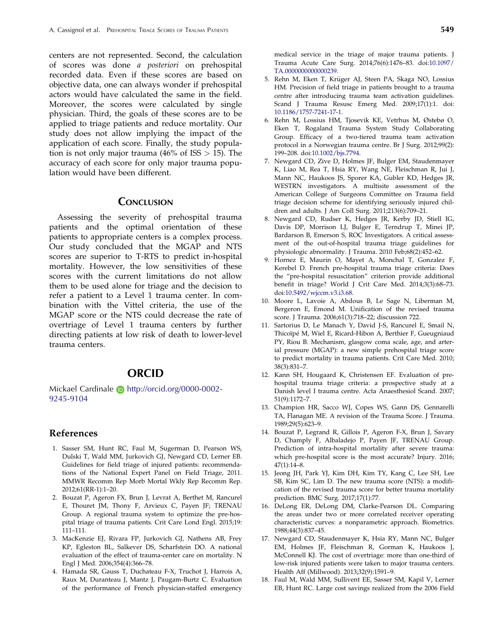<span id="page-7-0"></span>centers are not represented. Second, the calculation of scores was done a posteriori on prehospital recorded data. Even if these scores are based on objective data, one can always wonder if prehospital actors would have calculated the same in the field. Moreover, the scores were calculated by single physician. Third, the goals of these scores are to be applied to triage patients and reduce mortality. Our study does not allow implying the impact of the application of each score. Finally, the study population is not only major trauma  $(46\% \text{ of ISS} > 15)$ . The accuracy of each score for only major trauma population would have been different.

### **CONCLUSION**

Assessing the severity of prehospital trauma patients and the optimal orientation of these patients to appropriate centers is a complex process. Our study concluded that the MGAP and NTS scores are superior to T-RTS to predict in-hospital mortality. However, the low sensitivities of these scores with the current limitations do not allow them to be used alone for triage and the decision to refer a patient to a Level 1 trauma center. In combination with the Vittel criteria, the use of the MGAP score or the NTS could decrease the rate of overtriage of Level 1 trauma centers by further directing patients at low risk of death to lower-level trauma centers.

### ORCID

Mickael Cardinale **b** http://orcid.org/0000-0002-9245-9104

#### References

- [1.](#page-1-0) Sasser SM, Hunt RC, Faul M, Sugerman D, Pearson WS, Dulski T, Wald MM, Jurkovich GJ, Newgard CD, Lerner EB. Guidelines for field triage of injured patients: recommendations of the National Expert Panel on Field Triage, 2011. MMWR Recomm Rep Morb Mortal Wkly Rep Recomm Rep. 2012;61(RR-1):1–20.
- [2.](#page-1-0) Bouzat P, Ageron FX, Brun J, Levrat A, Berthet M, Rancurel E, Thouret JM, Thony F, Arvieux C, Payen JF; TRENAU Group. A regional trauma system to optimize the pre-hospital triage of trauma patients. Crit Care Lond Engl. 2015;19: 111–111.
- [3.](#page-1-0) MacKenzie EJ, Rivara FP, Jurkovich GJ, Nathens AB, Frey KP, Egleston BL, Salkever DS, Scharfstein DO. A national evaluation of the effect of trauma-center care on mortality. N Engl J Med. 2006;354(4):366–78.
- [4.](#page-1-0) Hamada SR, Gauss T, Duchateau F-X, Truchot J, Harrois A, Raux M, Duranteau J, Mantz J, Paugam-Burtz C. Evaluation of the performance of French physician-staffed emergency

medical service in the triage of major trauma patients. J Trauma Acute Care Surg. 2014;76(6):1476–83. doi[:10.1097/](https://doi.org/10.1097/TA.0000000000000239) [TA.0000000000000239.](https://doi.org/10.1097/TA.0000000000000239)

- 5. Rehn M, Eken T, Krüger AJ, Steen PA, Skaga NO, Lossius HM. Precision of field triage in patients brought to a trauma centre after introducing trauma team activation guidelines. Scand J Trauma Resusc Emerg Med. 2009;17(1):1. doi: [10.1186/1757-7241-17-1.](https://doi.org/10.1186/1757-7241-17-1)
- [6.](#page-2-0) Rehn M, Lossius HM, Tjosevik KE, Vetrhus M, Østebø O, Eken T, Rogaland Trauma System Study Collaborating Group. Efficacy of a two-tiered trauma team activation protocol in a Norwegian trauma centre. Br J Surg. 2012;99(2): 199–208. doi[:10.1002/bjs.7794.](https://doi.org/10.1002/bjs.7794)
- [7.](#page-1-0) Newgard CD, Zive D, Holmes JF, Bulger EM, Staudenmayer K, Liao M, Rea T, Hsia RY, Wang NE, Fleischman R, Jui J, Mann NC, Haukoos JS, Sporer KA, Gubler KD, Hedges JR, WESTRN investigators. A multisite assessment of the American College of Surgeons Committee on Trauma field triage decision scheme for identifying seriously injured children and adults. J Am Coll Surg. 2011;213(6):709–21.
- [8.](#page-1-0) Newgard CD, Rudser K, Hedges JR, Kerby JD, Stiell IG, Davis DP, Morrison LJ, Bulger E, Terndrup T, Minei JP, Bardarson B, Emerson S, ROC Investigators. A critical assessment of the out-of-hospital trauma triage guidelines for physiologic abnormality. J Trauma. 2010 Feb;68(2):452–62.
- [9.](#page-2-0) Hornez E, Maurin O, Mayet A, Monchal T, Gonzalez F, Kerebel D. French pre-hospital trauma triage criteria: Does the "pre-hospital resuscitation" criterion provide additional benefit in triage? World J Crit Care Med. 2014;3(3):68–73. doi[:10.5492/wjccm.v3.i3.68.](https://doi.org/10.5492/wjccm.v3.i3.68)
- [10.](#page-2-0) Moore L, Lavoie A, Abdous B, Le Sage N, Liberman M, Bergeron E, Emond M. Unification of the revised trauma score. J Trauma. 2006;61(3):718–22; discussion 722.
- [11.](#page-2-0) Sartorius D, Le Manach Y, David J-S, Rancurel E, Smail N, Thicoïpe M, Wiel E, Ricard-Hibon A, Berthier F, Gueugniaud PY, Riou B. Mechanism, glasgow coma scale, age, and arterial pressure (MGAP): a new simple prehospital triage score to predict mortality in trauma patients. Crit Care Med. 2010; 38(3):831–7.
- [12.](#page-2-0) Kann SH, Hougaard K, Christensen EF. Evaluation of prehospital trauma triage criteria: a prospective study at a Danish level I trauma centre. Acta Anaesthesiol Scand. 2007; 51(9):1172–7.
- [13.](#page-2-0) Champion HR, Sacco WJ, Copes WS, Gann DS, Gennarelli TA, Flanagan ME. A revision of the Trauma Score. J Trauma. 1989;29(5):623–9.
- [14.](#page-2-0) Bouzat P, Legrand R, Gillois P, Ageron F-X, Brun J, Savary D, Champly F, Albaladejo P, Payen JF, TRENAU Group. Prediction of intra-hospital mortality after severe trauma: which pre-hospital score is the most accurate? Injury. 2016; 47(1):14–8.
- [15.](#page-2-0) Jeong JH, Park YJ, Kim DH, Kim TY, Kang C, Lee SH, Lee SB, Kim SC, Lim D. The new trauma score (NTS): a modification of the revised trauma score for better trauma mortality prediction. BMC Surg. 2017;17(1):77.
- [16.](#page-3-0) DeLong ER, DeLong DM, Clarke-Pearson DL. Comparing the areas under two or more correlated receiver operating characteristic curves: a nonparametric approach. Biometrics. 1988;44(3):837–45.
- [17.](#page-4-0) Newgard CD, Staudenmayer K, Hsia RY, Mann NC, Bulger EM, Holmes JF, Fleischman R, Gorman K, Haukoos J, McConnell KJ. The cost of overtriage: more than one-third of low-risk injured patients were taken to major trauma centers. Health Aff (Millwood). 2013;32(9):1591–9.
- [18.](#page-2-0) Faul M, Wald MM, Sullivent EE, Sasser SM, Kapil V, Lerner EB, Hunt RC. Large cost savings realized from the 2006 Field